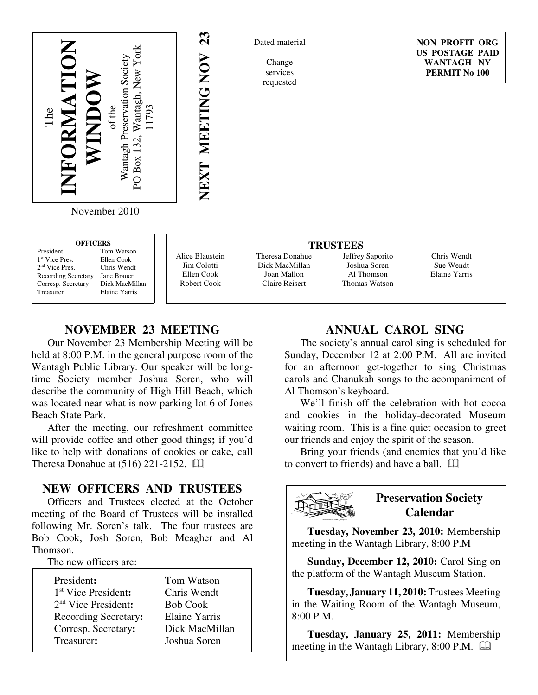

Dated material

Change services requested

**NON PROFIT ORG US POSTAGE PAID WANTAGH NY PERMIT No 100**

November 2010

| <b>OFFICERS</b>            |                |  |
|----------------------------|----------------|--|
| President                  | Tom Watson     |  |
| 1 <sup>st</sup> Vice Pres. | Ellen Cook     |  |
| 2 <sup>nd</sup> Vice Pres. | Chris Wendt    |  |
| <b>Recording Secretary</b> | Jane Brauer    |  |
| Corresp. Secretary         | Dick MacMillan |  |
| Treasurer                  | Elaine Yarris  |  |

Alice Blaustein Jim Colotti Ellen Cook Robert Cook

**NEXT MEETING NOV 23**

VEXT MEETING NOV

 $\boldsymbol{\mathcal{S}}$ 

Theresa Donahue Dick MacMillan Joan Mallon Claire Reisert

**TRUSTEES** Jeffrey Saporito Joshua Soren Al Thomson Thomas Watson

Chris Wendt Sue Wendt Elaine Yarris

# **NOVEMBER 23 MEETING**

Our November 23 Membership Meeting will be held at 8:00 P.M. in the general purpose room of the Wantagh Public Library. Our speaker will be longtime Society member Joshua Soren, who will describe the community of High Hill Beach, which was located near what is now parking lot 6 of Jones Beach State Park.

After the meeting, our refreshment committee will provide coffee and other good things**;** if you'd like to help with donations of cookies or cake, call Theresa Donahue at  $(516)$  221-2152.  $\Box$ 

#### **NEW OFFICERS AND TRUSTEES**

Officers and Trustees elected at the October meeting of the Board of Trustees will be installed following Mr. Soren's talk. The four trustees are Bob Cook, Josh Soren, Bob Meagher and Al Thomson.

The new officers are:

| President:                      | Tom Watson      |
|---------------------------------|-----------------|
| 1 <sup>st</sup> Vice President: | Chris Wendt     |
| $2nd$ Vice President:           | <b>Bob Cook</b> |
| Recording Secretary:            | Elaine Yarris   |
| Corresp. Secretary:             | Dick MacMillan  |
| Treasurer:                      | Joshua Soren    |

## **ANNUAL CAROL SING**

The society's annual carol sing is scheduled for Sunday, December 12 at 2:00 P.M. All are invited for an afternoon get-together to sing Christmas carols and Chanukah songs to the acompaniment of Al Thomson's keyboard.

We'll finish off the celebration with hot cocoa and cookies in the holiday-decorated Museum waiting room. This is a fine quiet occasion to greet our friends and enjoy the spirit of the season.

Bring your friends (and enemies that you'd like to convert to friends) and have a ball.



# **Preservation Society Calendar**

**Tuesday, November 23, 2010:** Membership meeting in the Wantagh Library, 8:00 P.M

**Sunday, December 12, 2010:** Carol Sing on the platform of the Wantagh Museum Station.

**Tuesday, January 11, 2010:** Trustees Meeting in the Waiting Room of the Wantagh Museum, 8:00 P.M.

**Tuesday, January 25, 2011:** Membership meeting in the Wantagh Library, 8:00 P.M.